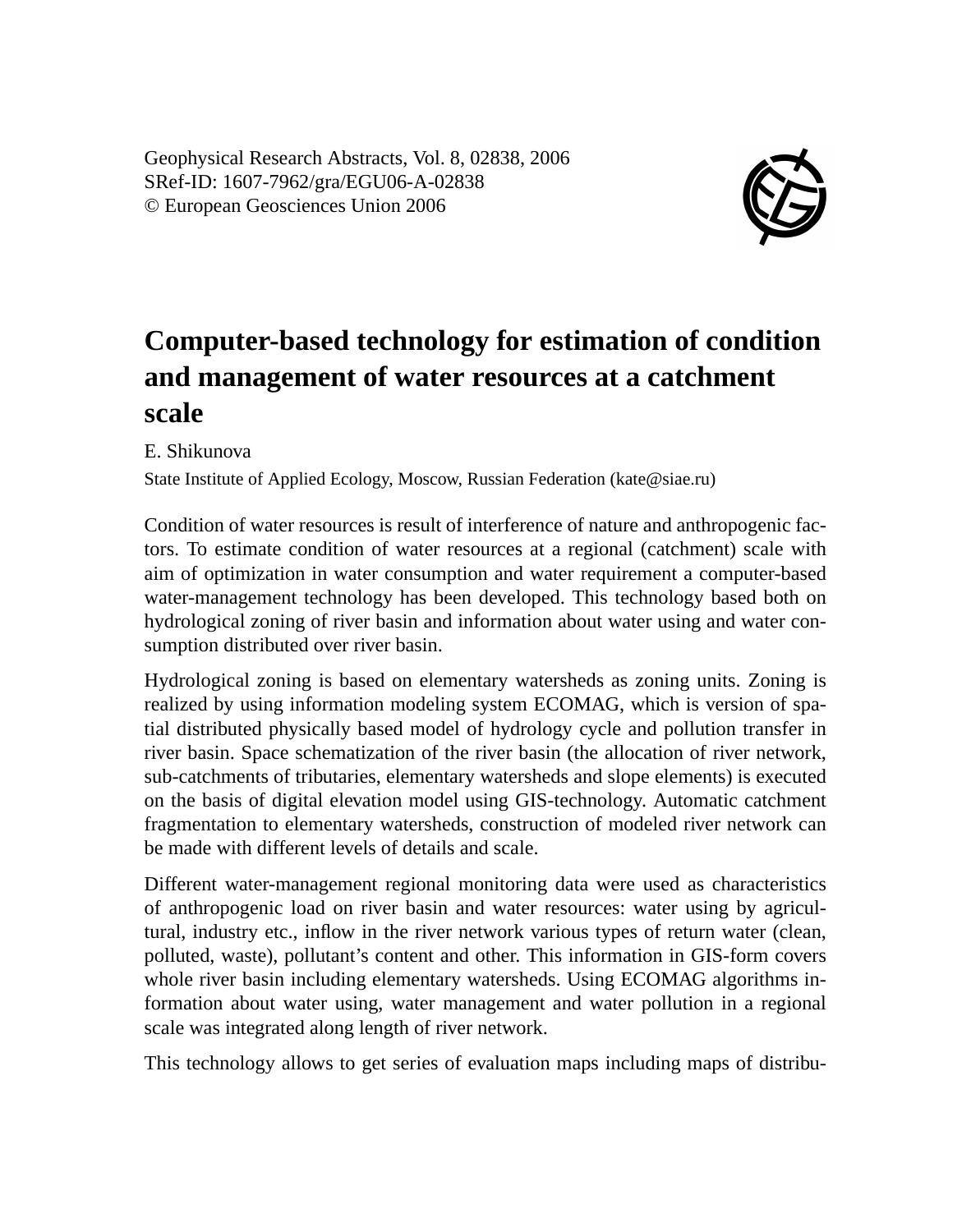Geophysical Research Abstracts, Vol. 8, 02838, 2006 SRef-ID: 1607-7962/gra/EGU06-A-02838 © European Geosciences Union 2006



## **Computer-based technology for estimation of condition and management of water resources at a catchment scale**

E. Shikunova

State Institute of Applied Ecology, Moscow, Russian Federation (kate@siae.ru)

Condition of water resources is result of interference of nature and anthropogenic factors. To estimate condition of water resources at a regional (catchment) scale with aim of optimization in water consumption and water requirement a computer-based water-management technology has been developed. This technology based both on hydrological zoning of river basin and information about water using and water consumption distributed over river basin.

Hydrological zoning is based on elementary watersheds as zoning units. Zoning is realized by using information modeling system ECOMAG, which is version of spatial distributed physically based model of hydrology cycle and pollution transfer in river basin. Space schematization of the river basin (the allocation of river network, sub-catchments of tributaries, elementary watersheds and slope elements) is executed on the basis of digital elevation model using GIS-technology. Automatic catchment fragmentation to elementary watersheds, construction of modeled river network can be made with different levels of details and scale.

Different water-management regional monitoring data were used as characteristics of anthropogenic load on river basin and water resources: water using by agricultural, industry etc., inflow in the river network various types of return water (clean, polluted, waste), pollutant's content and other. This information in GIS-form covers whole river basin including elementary watersheds. Using ECOMAG algorithms information about water using, water management and water pollution in a regional scale was integrated along length of river network.

This technology allows to get series of evaluation maps including maps of distribu-